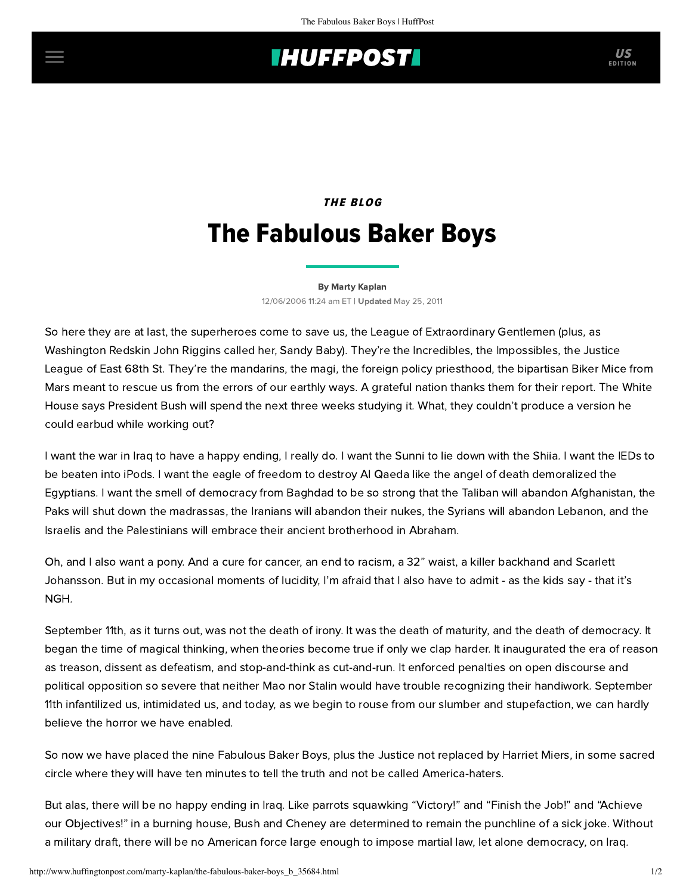## **THUFFPOST**

## THE BLOG The Fabulous Baker Boys

[By Marty Kaplan](http://www.huffingtonpost.com/author/marty-kaplan) 12/06/2006 11:24 am ET | Updated May 25, 2011

So here they are at last, the superheroes come to save us, the League of Extraordinary Gentlemen (plus, as Washington Redskin John Riggins called her, Sandy Baby). They're the Incredibles, the Impossibles, the Justice League of East 68th St. They're the mandarins, the magi, the foreign policy priesthood, the bipartisan Biker Mice from Mars meant to rescue us from the errors of our earthly ways. A grateful nation thanks them for their report. The White House says President Bush will spend the next three weeks studying it. What, they couldn't produce a version he could earbud while working out?

I want the war in Iraq to have a happy ending, I really do. I want the Sunni to lie down with the Shiia. I want the IEDs to be beaten into iPods. I want the eagle of freedom to destroy Al Qaeda like the angel of death demoralized the Egyptians. I want the smell of democracy from Baghdad to be so strong that the Taliban will abandon Afghanistan, the Paks will shut down the madrassas, the Iranians will abandon their nukes, the Syrians will abandon Lebanon, and the Israelis and the Palestinians will embrace their ancient brotherhood in Abraham.

Oh, and I also want a pony. And a cure for cancer, an end to racism, a 32" waist, a killer backhand and Scarlett Johansson. But in my occasional moments of lucidity, I'm afraid that I also have to admit - as the kids say - that it's NGH.

September 11th, as it turns out, was not the death of irony. It was the death of maturity, and the death of democracy. It began the time of magical thinking, when theories become true if only we clap harder. It inaugurated the era of reason as treason, dissent as defeatism, and stop-and-think as cut-and-run. It enforced penalties on open discourse and political opposition so severe that neither Mao nor Stalin would have trouble recognizing their handiwork. September 11th infantilized us, intimidated us, and today, as we begin to rouse from our slumber and stupefaction, we can hardly believe the horror we have enabled.

So now we have placed the nine Fabulous Baker Boys, plus the Justice not replaced by Harriet Miers, in some sacred circle where they will have ten minutes to tell the truth and not be called America-haters.

But alas, there will be no happy ending in Iraq. Like parrots squawking "Victory!" and "Finish the Job!" and "Achieve our Objectives!" in a burning house, Bush and Cheney are determined to remain the punchline of a sick joke. Without a military draft, there will be no American force large enough to impose martial law, let alone democracy, on Iraq.